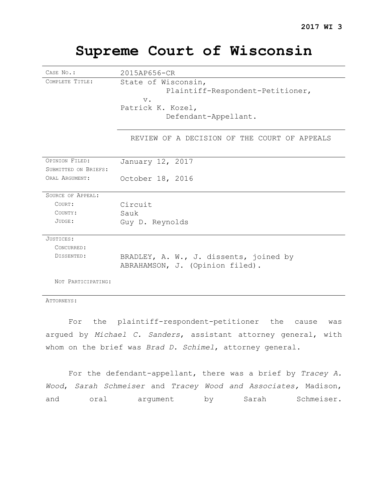# **Supreme Court of Wisconsin**

| CASE No.:                | 2015AP656-CR                                                                                                  |
|--------------------------|---------------------------------------------------------------------------------------------------------------|
| COMPLETE TITLE:          | State of Wisconsin,<br>Plaintiff-Respondent-Petitioner,<br>$V$ .<br>Patrick K. Kozel,<br>Defendant-Appellant. |
|                          | REVIEW OF A DECISION OF THE COURT OF APPEALS                                                                  |
| OPINION FILED:           | January 12, 2017                                                                                              |
| SUBMITTED ON BRIEFS:     |                                                                                                               |
| ORAL ARGUMENT:           | October 18, 2016                                                                                              |
| <b>SOURCE OF APPEAL:</b> |                                                                                                               |
| COURT:                   | Circuit                                                                                                       |
| COUNTY:                  | Sauk                                                                                                          |
| JUDGE:                   | Guy D. Reynolds                                                                                               |
| JUSTICES:                |                                                                                                               |
| CONCURRED:               |                                                                                                               |
| DISSENTED:               | BRADLEY, A. W., J. dissents, joined by<br>ABRAHAMSON, J. (Opinion filed).                                     |
| NOT PARTICIPATING:       |                                                                                                               |

ATTORNEYS:

For the plaintiff-respondent-petitioner the cause was argued by *Michael C. Sanders*, assistant attorney general, with whom on the brief was *Brad D. Schimel*, attorney general.

For the defendant-appellant, there was a brief by *Tracey A. Wood*, *Sarah Schmeiser* and *Tracey Wood and Associates,* Madison, and oral argument by Sarah Schmeiser.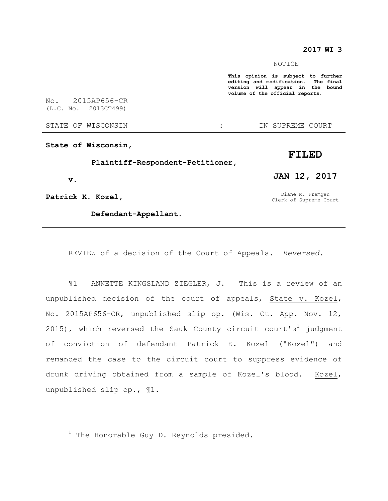## **2017 WI 3**

#### NOTICE

**This opinion is subject to further editing and modification. The final version will appear in the bound volume of the official reports.** 

No. 2015AP656-CR (L.C. No. 2013CT499)

STATE OF WISCONSIN THE RESERVE STATE OF WISCONSIN THE SERVER SOURT

**State of Wisconsin,**

 **Plaintiff-Respondent-Petitioner,**

 **v.**

 $\overline{a}$ 

**Patrick K. Kozel,**

 **Defendant-Appellant.**

Diane M. Fremgen Clerk of Supreme Court

**FILED**

**JAN 12, 2017**

REVIEW of a decision of the Court of Appeals. *Reversed.*

¶1 ANNETTE KINGSLAND ZIEGLER, J. This is a review of an unpublished decision of the court of appeals, State v. Kozel, No. 2015AP656-CR, unpublished slip op. (Wis. Ct. App. Nov. 12, 2015), which reversed the Sauk County circuit court's<sup>1</sup> judgment of conviction of defendant Patrick K. Kozel ("Kozel") and remanded the case to the circuit court to suppress evidence of drunk driving obtained from a sample of Kozel's blood. Kozel, unpublished slip op., ¶1.

<sup>&</sup>lt;sup>1</sup> The Honorable Guy D. Reynolds presided.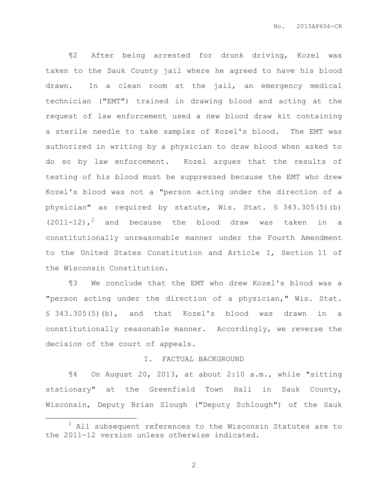¶2 After being arrested for drunk driving, Kozel was taken to the Sauk County jail where he agreed to have his blood drawn. In a clean room at the jail, an emergency medical technician ("EMT") trained in drawing blood and acting at the request of law enforcement used a new blood draw kit containing a sterile needle to take samples of Kozel's blood. The EMT was authorized in writing by a physician to draw blood when asked to do so by law enforcement. Kozel argues that the results of testing of his blood must be suppressed because the EMT who drew Kozel's blood was not a "person acting under the direction of a physician" as required by statute, Wis. Stat. § 343.305(5)(b)  $(2011-12)$ , and because the blood draw was taken in a constitutionally unreasonable manner under the Fourth Amendment to the United States Constitution and Article I, Section 11 of the Wisconsin Constitution.

¶3 We conclude that the EMT who drew Kozel's blood was a "person acting under the direction of a physician," Wis. Stat. § 343.305(5)(b), and that Kozel's blood was drawn in a constitutionally reasonable manner. Accordingly, we reverse the decision of the court of appeals.

#### I. FACTUAL BACKGROUND

¶4 On August 20, 2013, at about 2:10 a.m., while "sitting stationary" at the Greenfield Town Hall in Sauk County, Wisconsin, Deputy Brian Slough ("Deputy Schlough") of the Sauk

 $\overline{a}$ 

 $2$  All subsequent references to the Wisconsin Statutes are to the 2011-12 version unless otherwise indicated.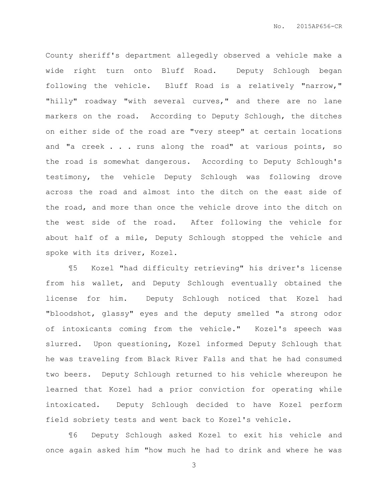County sheriff's department allegedly observed a vehicle make a wide right turn onto Bluff Road. Deputy Schlough began following the vehicle. Bluff Road is a relatively "narrow," "hilly" roadway "with several curves," and there are no lane markers on the road. According to Deputy Schlough, the ditches on either side of the road are "very steep" at certain locations and "a creek . . . runs along the road" at various points, so the road is somewhat dangerous. According to Deputy Schlough's testimony, the vehicle Deputy Schlough was following drove across the road and almost into the ditch on the east side of the road, and more than once the vehicle drove into the ditch on the west side of the road. After following the vehicle for about half of a mile, Deputy Schlough stopped the vehicle and spoke with its driver, Kozel.

¶5 Kozel "had difficulty retrieving" his driver's license from his wallet, and Deputy Schlough eventually obtained the license for him. Deputy Schlough noticed that Kozel had "bloodshot, glassy" eyes and the deputy smelled "a strong odor of intoxicants coming from the vehicle." Kozel's speech was slurred. Upon questioning, Kozel informed Deputy Schlough that he was traveling from Black River Falls and that he had consumed two beers. Deputy Schlough returned to his vehicle whereupon he learned that Kozel had a prior conviction for operating while intoxicated. Deputy Schlough decided to have Kozel perform field sobriety tests and went back to Kozel's vehicle.

¶6 Deputy Schlough asked Kozel to exit his vehicle and once again asked him "how much he had to drink and where he was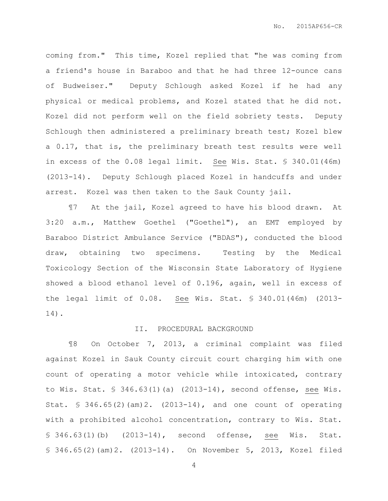coming from." This time, Kozel replied that "he was coming from a friend's house in Baraboo and that he had three 12-ounce cans of Budweiser." Deputy Schlough asked Kozel if he had any physical or medical problems, and Kozel stated that he did not. Kozel did not perform well on the field sobriety tests. Deputy Schlough then administered a preliminary breath test; Kozel blew a 0.17, that is, the preliminary breath test results were well in excess of the 0.08 legal limit. See Wis. Stat. § 340.01(46m) (2013-14). Deputy Schlough placed Kozel in handcuffs and under arrest. Kozel was then taken to the Sauk County jail.

¶7 At the jail, Kozel agreed to have his blood drawn. At 3:20 a.m., Matthew Goethel ("Goethel"), an EMT employed by Baraboo District Ambulance Service ("BDAS"), conducted the blood draw, obtaining two specimens. Testing by the Medical Toxicology Section of the Wisconsin State Laboratory of Hygiene showed a blood ethanol level of 0.196, again, well in excess of the legal limit of 0.08. See Wis. Stat. § 340.01(46m) (2013- 14).

#### II. PROCEDURAL BACKGROUND

¶8 On October 7, 2013, a criminal complaint was filed against Kozel in Sauk County circuit court charging him with one count of operating a motor vehicle while intoxicated, contrary to Wis. Stat. § 346.63(1)(a) (2013-14), second offense, see Wis. Stat. § 346.65(2)(am)2. (2013-14), and one count of operating with a prohibited alcohol concentration, contrary to Wis. Stat. § 346.63(1)(b) (2013-14), second offense, see Wis. Stat. § 346.65(2)(am)2. (2013-14). On November 5, 2013, Kozel filed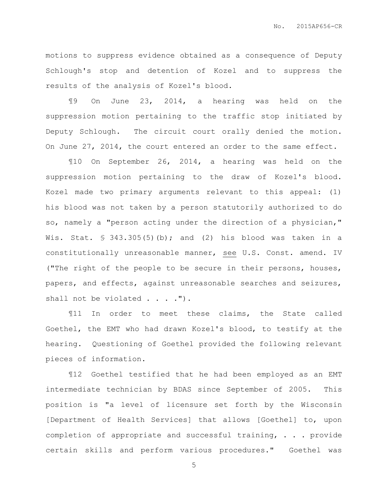motions to suppress evidence obtained as a consequence of Deputy Schlough's stop and detention of Kozel and to suppress the results of the analysis of Kozel's blood.

¶9 On June 23, 2014, a hearing was held on the suppression motion pertaining to the traffic stop initiated by Deputy Schlough. The circuit court orally denied the motion. On June 27, 2014, the court entered an order to the same effect.

¶10 On September 26, 2014, a hearing was held on the suppression motion pertaining to the draw of Kozel's blood. Kozel made two primary arguments relevant to this appeal: (1) his blood was not taken by a person statutorily authorized to do so, namely a "person acting under the direction of a physician," Wis. Stat.  $\frac{1}{5}$  343.305(5)(b); and (2) his blood was taken in a constitutionally unreasonable manner, see U.S. Const. amend. IV ("The right of the people to be secure in their persons, houses, papers, and effects, against unreasonable searches and seizures, shall not be violated . . . . ").

¶11 In order to meet these claims, the State called Goethel, the EMT who had drawn Kozel's blood, to testify at the hearing. Questioning of Goethel provided the following relevant pieces of information.

¶12 Goethel testified that he had been employed as an EMT intermediate technician by BDAS since September of 2005. This position is "a level of licensure set forth by the Wisconsin [Department of Health Services] that allows [Goethel] to, upon completion of appropriate and successful training, . . . provide certain skills and perform various procedures." Goethel was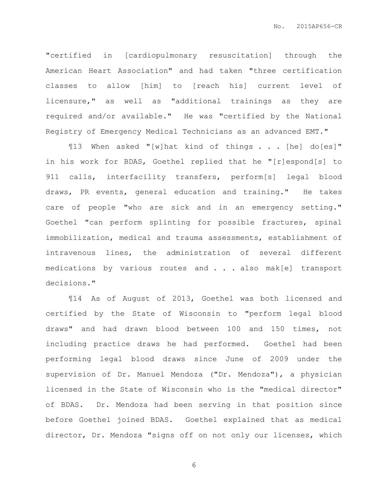"certified in [cardiopulmonary resuscitation] through the American Heart Association" and had taken "three certification classes to allow [him] to [reach his] current level of licensure," as well as "additional trainings as they are required and/or available." He was "certified by the National Registry of Emergency Medical Technicians as an advanced EMT."

¶13 When asked "[w]hat kind of things . . . [he] do[es]" in his work for BDAS, Goethel replied that he "[r]espond[s] to 911 calls, interfacility transfers, perform[s] legal blood draws, PR events, general education and training." He takes care of people "who are sick and in an emergency setting." Goethel "can perform splinting for possible fractures, spinal immobilization, medical and trauma assessments, establishment of intravenous lines, the administration of several different medications by various routes and . . . also mak[e] transport decisions."

¶14 As of August of 2013, Goethel was both licensed and certified by the State of Wisconsin to "perform legal blood draws" and had drawn blood between 100 and 150 times, not including practice draws he had performed. Goethel had been performing legal blood draws since June of 2009 under the supervision of Dr. Manuel Mendoza ("Dr. Mendoza"), a physician licensed in the State of Wisconsin who is the "medical director" of BDAS. Dr. Mendoza had been serving in that position since before Goethel joined BDAS. Goethel explained that as medical director, Dr. Mendoza "signs off on not only our licenses, which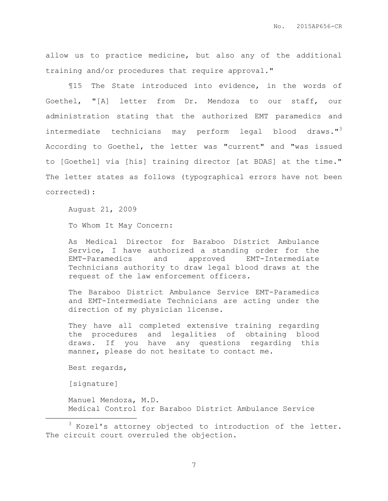allow us to practice medicine, but also any of the additional training and/or procedures that require approval."

¶15 The State introduced into evidence, in the words of Goethel, "[A] letter from Dr. Mendoza to our staff, our administration stating that the authorized EMT paramedics and intermediate technicians may perform legal blood draws."<sup>3</sup> According to Goethel, the letter was "current" and "was issued to [Goethel] via [his] training director [at BDAS] at the time." The letter states as follows (typographical errors have not been corrected):

August 21, 2009

To Whom It May Concern:

As Medical Director for Baraboo District Ambulance Service, I have authorized a standing order for the EMT-Paramedics and approved EMT-Intermediate Technicians authority to draw legal blood draws at the request of the law enforcement officers.

The Baraboo District Ambulance Service EMT-Paramedics and EMT-Intermediate Technicians are acting under the direction of my physician license.

They have all completed extensive training regarding the procedures and legalities of obtaining blood draws. If you have any questions regarding this manner, please do not hesitate to contact me.

Best regards,

[signature]

 $\overline{a}$ 

Manuel Mendoza, M.D. Medical Control for Baraboo District Ambulance Service

 $3$  Kozel's attorney objected to introduction of the letter. The circuit court overruled the objection.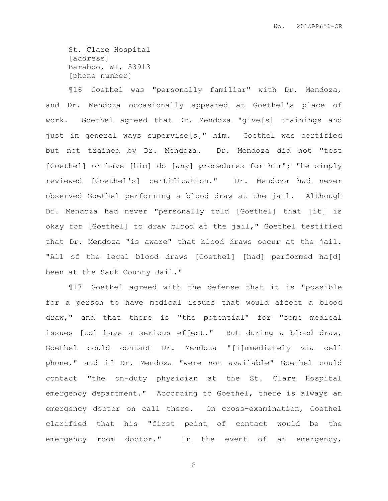St. Clare Hospital [address] Baraboo, WI, 53913 [phone number]

¶16 Goethel was "personally familiar" with Dr. Mendoza, and Dr. Mendoza occasionally appeared at Goethel's place of work. Goethel agreed that Dr. Mendoza "give[s] trainings and just in general ways supervise[s]" him. Goethel was certified but not trained by Dr. Mendoza. Dr. Mendoza did not "test [Goethel] or have [him] do [any] procedures for him"; "he simply reviewed [Goethel's] certification." Dr. Mendoza had never observed Goethel performing a blood draw at the jail. Although Dr. Mendoza had never "personally told [Goethel] that [it] is okay for [Goethel] to draw blood at the jail," Goethel testified that Dr. Mendoza "is aware" that blood draws occur at the jail. "All of the legal blood draws [Goethel] [had] performed ha[d] been at the Sauk County Jail."

¶17 Goethel agreed with the defense that it is "possible for a person to have medical issues that would affect a blood draw," and that there is "the potential" for "some medical issues [to] have a serious effect." But during a blood draw, Goethel could contact Dr. Mendoza "[i]mmediately via cell phone," and if Dr. Mendoza "were not available" Goethel could contact "the on-duty physician at the St. Clare Hospital emergency department." According to Goethel, there is always an emergency doctor on call there. On cross-examination, Goethel clarified that his "first point of contact would be the emergency room doctor." In the event of an emergency,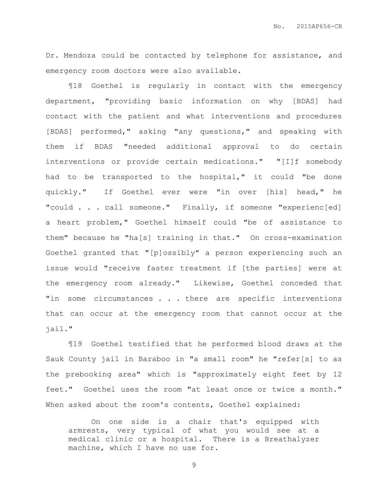Dr. Mendoza could be contacted by telephone for assistance, and emergency room doctors were also available.

¶18 Goethel is regularly in contact with the emergency department, "providing basic information on why [BDAS] had contact with the patient and what interventions and procedures [BDAS] performed," asking "any questions," and speaking with them if BDAS "needed additional approval to do certain interventions or provide certain medications." "[I]f somebody had to be transported to the hospital," it could "be done quickly." If Goethel ever were "in over [his] head," he "could . . . call someone." Finally, if someone "experienc[ed] a heart problem," Goethel himself could "be of assistance to them" because he "ha[s] training in that." On cross-examination Goethel granted that "[p]ossibly" a person experiencing such an issue would "receive faster treatment if [the parties] were at the emergency room already." Likewise, Goethel conceded that "in some circumstances . . . there are specific interventions that can occur at the emergency room that cannot occur at the jail."

¶19 Goethel testified that he performed blood draws at the Sauk County jail in Baraboo in "a small room" he "refer[s] to as the prebooking area" which is "approximately eight feet by 12 feet." Goethel uses the room "at least once or twice a month." When asked about the room's contents, Goethel explained:

On one side is a chair that's equipped with armrests, very typical of what you would see at a medical clinic or a hospital. There is a Breathalyzer machine, which I have no use for.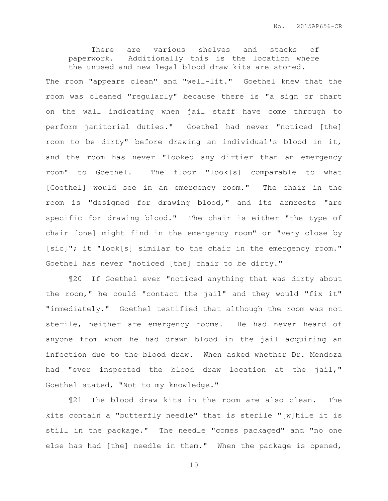There are various shelves and stacks of paperwork. Additionally this is the location where the unused and new legal blood draw kits are stored.

The room "appears clean" and "well-lit." Goethel knew that the room was cleaned "regularly" because there is "a sign or chart on the wall indicating when jail staff have come through to perform janitorial duties." Goethel had never "noticed [the] room to be dirty" before drawing an individual's blood in it, and the room has never "looked any dirtier than an emergency room" to Goethel. The floor "look[s] comparable to what [Goethel] would see in an emergency room." The chair in the room is "designed for drawing blood," and its armrests "are specific for drawing blood." The chair is either "the type of chair [one] might find in the emergency room" or "very close by [sic]"; it "look[s] similar to the chair in the emergency room." Goethel has never "noticed [the] chair to be dirty."

¶20 If Goethel ever "noticed anything that was dirty about the room," he could "contact the jail" and they would "fix it" "immediately." Goethel testified that although the room was not sterile, neither are emergency rooms. He had never heard of anyone from whom he had drawn blood in the jail acquiring an infection due to the blood draw. When asked whether Dr. Mendoza had "ever inspected the blood draw location at the jail," Goethel stated, "Not to my knowledge."

¶21 The blood draw kits in the room are also clean. The kits contain a "butterfly needle" that is sterile "[w]hile it is still in the package." The needle "comes packaged" and "no one else has had [the] needle in them." When the package is opened,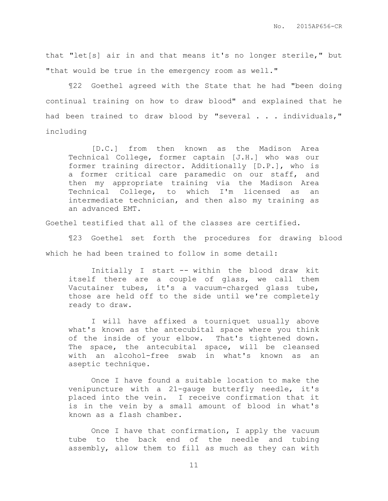that "let[s] air in and that means it's no longer sterile," but "that would be true in the emergency room as well."

¶22 Goethel agreed with the State that he had "been doing continual training on how to draw blood" and explained that he had been trained to draw blood by "several . . . individuals," including

[D.C.] from then known as the Madison Area Technical College, former captain [J.H.] who was our former training director. Additionally [D.P.], who is a former critical care paramedic on our staff, and then my appropriate training via the Madison Area Technical College, to which I'm licensed as an intermediate technician, and then also my training as an advanced EMT.

Goethel testified that all of the classes are certified.

¶23 Goethel set forth the procedures for drawing blood which he had been trained to follow in some detail:

Initially I start -- within the blood draw kit itself there are a couple of glass, we call them Vacutainer tubes, it's a vacuum-charged glass tube, those are held off to the side until we're completely ready to draw.

I will have affixed a tourniquet usually above what's known as the antecubital space where you think of the inside of your elbow. That's tightened down. The space, the antecubital space, will be cleansed with an alcohol-free swab in what's known as an aseptic technique.

Once I have found a suitable location to make the venipuncture with a 21-gauge butterfly needle, it's placed into the vein. I receive confirmation that it is in the vein by a small amount of blood in what's known as a flash chamber.

Once I have that confirmation, I apply the vacuum tube to the back end of the needle and tubing assembly, allow them to fill as much as they can with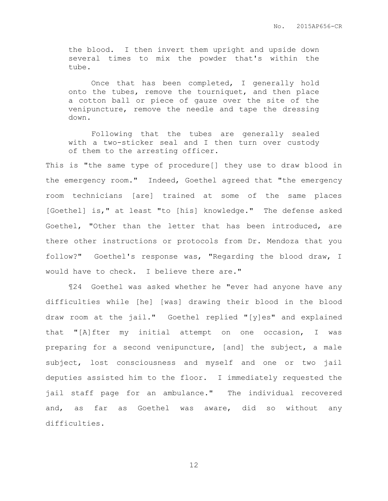the blood. I then invert them upright and upside down several times to mix the powder that's within the tube.

Once that has been completed, I generally hold onto the tubes, remove the tourniquet, and then place a cotton ball or piece of gauze over the site of the venipuncture, remove the needle and tape the dressing down.

Following that the tubes are generally sealed with a two-sticker seal and I then turn over custody of them to the arresting officer.

This is "the same type of procedure[] they use to draw blood in the emergency room." Indeed, Goethel agreed that "the emergency room technicians [are] trained at some of the same places [Goethel] is," at least "to [his] knowledge." The defense asked Goethel, "Other than the letter that has been introduced, are there other instructions or protocols from Dr. Mendoza that you follow?" Goethel's response was, "Regarding the blood draw, I would have to check. I believe there are."

¶24 Goethel was asked whether he "ever had anyone have any difficulties while [he] [was] drawing their blood in the blood draw room at the jail." Goethel replied "[y]es" and explained that "[A]fter my initial attempt on one occasion, I was preparing for a second venipuncture, [and] the subject, a male subject, lost consciousness and myself and one or two jail deputies assisted him to the floor. I immediately requested the jail staff page for an ambulance." The individual recovered and, as far as Goethel was aware, did so without any difficulties.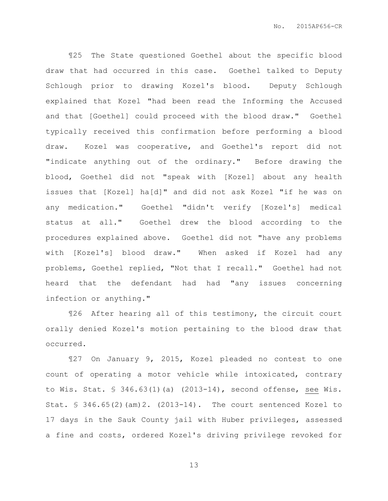¶25 The State questioned Goethel about the specific blood draw that had occurred in this case. Goethel talked to Deputy Schlough prior to drawing Kozel's blood. Deputy Schlough explained that Kozel "had been read the Informing the Accused and that [Goethel] could proceed with the blood draw." Goethel typically received this confirmation before performing a blood draw. Kozel was cooperative, and Goethel's report did not "indicate anything out of the ordinary." Before drawing the blood, Goethel did not "speak with [Kozel] about any health issues that [Kozel] ha[d]" and did not ask Kozel "if he was on any medication." Goethel "didn't verify [Kozel's] medical status at all." Goethel drew the blood according to the procedures explained above. Goethel did not "have any problems with [Kozel's] blood draw." When asked if Kozel had any problems, Goethel replied, "Not that I recall." Goethel had not heard that the defendant had had "any issues concerning infection or anything."

¶26 After hearing all of this testimony, the circuit court orally denied Kozel's motion pertaining to the blood draw that occurred.

¶27 On January 9, 2015, Kozel pleaded no contest to one count of operating a motor vehicle while intoxicated, contrary to Wis. Stat. § 346.63(1)(a) (2013-14), second offense, see Wis. Stat.  $\frac{1}{2}$  346.65(2)(am)2. (2013-14). The court sentenced Kozel to 17 days in the Sauk County jail with Huber privileges, assessed a fine and costs, ordered Kozel's driving privilege revoked for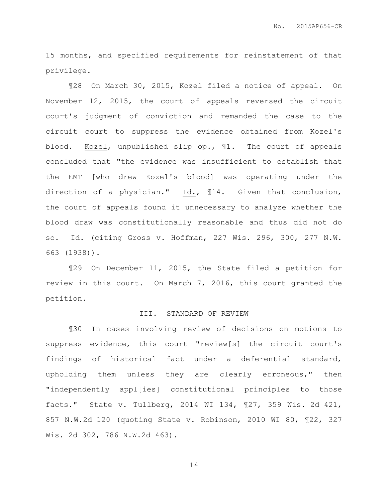15 months, and specified requirements for reinstatement of that privilege.

¶28 On March 30, 2015, Kozel filed a notice of appeal. On November 12, 2015, the court of appeals reversed the circuit court's judgment of conviction and remanded the case to the circuit court to suppress the evidence obtained from Kozel's blood. Kozel, unpublished slip op., ¶1. The court of appeals concluded that "the evidence was insufficient to establish that the EMT [who drew Kozel's blood] was operating under the direction of a physician." Id., ¶14. Given that conclusion, the court of appeals found it unnecessary to analyze whether the blood draw was constitutionally reasonable and thus did not do so. Id. (citing Gross v. Hoffman, 227 Wis. 296, 300, 277 N.W. 663 (1938)).

¶29 On December 11, 2015, the State filed a petition for review in this court. On March 7, 2016, this court granted the petition.

### III. STANDARD OF REVIEW

¶30 In cases involving review of decisions on motions to suppress evidence, this court "review[s] the circuit court's findings of historical fact under a deferential standard, upholding them unless they are clearly erroneous," then "independently appl[ies] constitutional principles to those facts." State v. Tullberg, 2014 WI 134, ¶27, 359 Wis. 2d 421, 857 N.W.2d 120 (quoting State v. Robinson, 2010 WI 80, ¶22, 327 Wis. 2d 302, 786 N.W.2d 463).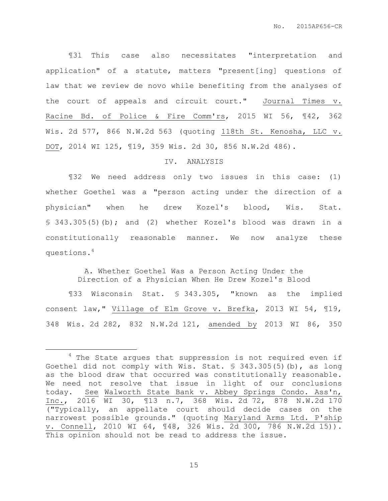¶31 This case also necessitates "interpretation and application" of a statute, matters "present[ing] questions of law that we review de novo while benefiting from the analyses of the court of appeals and circuit court." Journal Times v. Racine Bd. of Police & Fire Comm'rs, 2015 WI 56, ¶42, 362 Wis. 2d 577, 866 N.W.2d 563 (quoting 118th St. Kenosha, LLC v. DOT, 2014 WI 125, ¶19, 359 Wis. 2d 30, 856 N.W.2d 486).

### IV. ANALYSIS

¶32 We need address only two issues in this case: (1) whether Goethel was a "person acting under the direction of a physician" when he drew Kozel's blood, Wis. Stat. § 343.305(5)(b); and (2) whether Kozel's blood was drawn in a constitutionally reasonable manner. We now analyze these questions.<sup>4</sup>

> A. Whether Goethel Was a Person Acting Under the Direction of a Physician When He Drew Kozel's Blood

¶33 Wisconsin Stat. § 343.305, "known as the implied consent law," Village of Elm Grove v. Brefka, 2013 WI 54, ¶19, 348 Wis. 2d 282, 832 N.W.2d 121, amended by 2013 WI 86, 350

 $\overline{a}$ 

<sup>&</sup>lt;sup>4</sup> The State argues that suppression is not required even if Goethel did not comply with Wis. Stat. § 343.305(5)(b), as long as the blood draw that occurred was constitutionally reasonable. We need not resolve that issue in light of our conclusions today. See Walworth State Bank v. Abbey Springs Condo. Ass'n, Inc., 2016 WI 30, ¶13 n.7, 368 Wis. 2d 72, 878 N.W.2d 170 ("Typically, an appellate court should decide cases on the narrowest possible grounds." (quoting Maryland Arms Ltd. P'ship v. Connell, 2010 WI 64, ¶48, 326 Wis. 2d 300, 786 N.W.2d 15)). This opinion should not be read to address the issue.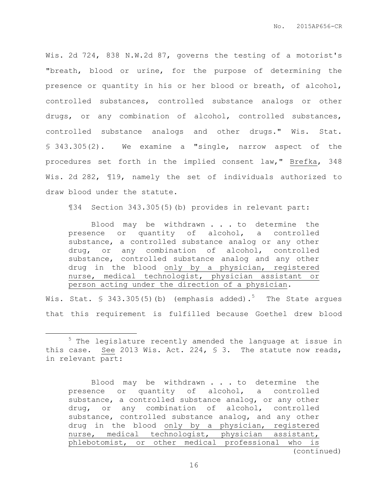Wis. 2d 724, 838 N.W.2d 87, governs the testing of a motorist's "breath, blood or urine, for the purpose of determining the presence or quantity in his or her blood or breath, of alcohol, controlled substances, controlled substance analogs or other drugs, or any combination of alcohol, controlled substances, controlled substance analogs and other drugs." Wis. Stat. § 343.305(2). We examine a "single, narrow aspect of the procedures set forth in the implied consent law," Brefka, 348 Wis. 2d 282, ¶19, namely the set of individuals authorized to draw blood under the statute.

¶34 Section 343.305(5)(b) provides in relevant part:

Blood may be withdrawn . . . to determine the presence or quantity of alcohol, a controlled substance, a controlled substance analog or any other drug, or any combination of alcohol, controlled substance, controlled substance analog and any other drug in the blood only by a physician, registered nurse, medical technologist, physician assistant or person acting under the direction of a physician.

Wis. Stat.  $\frac{1}{5}$  343.305(5)(b) (emphasis added).<sup>5</sup> The State argues that this requirement is fulfilled because Goethel drew blood

 $\overline{a}$ 

<sup>&</sup>lt;sup>5</sup> The legislature recently amended the language at issue in this case. See 2013 Wis. Act. 224, § 3. The statute now reads, in relevant part:

Blood may be withdrawn . . . to determine the presence or quantity of alcohol, a controlled substance, a controlled substance analog, or any other drug, or any combination of alcohol, controlled substance, controlled substance analog, and any other drug in the blood only by a physician, registered nurse, medical technologist, physician assistant, phlebotomist, or other medical professional who is (continued)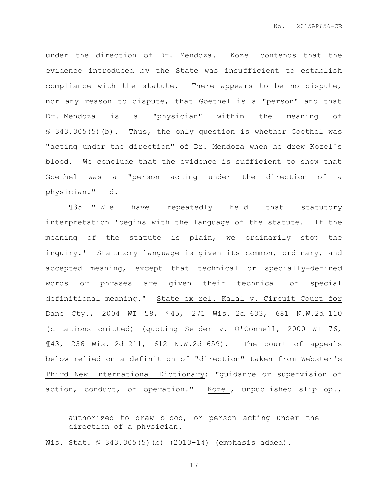under the direction of Dr. Mendoza. Kozel contends that the evidence introduced by the State was insufficient to establish compliance with the statute. There appears to be no dispute, nor any reason to dispute, that Goethel is a "person" and that Dr. Mendoza is a "physician" within the meaning of § 343.305(5)(b). Thus, the only question is whether Goethel was "acting under the direction" of Dr. Mendoza when he drew Kozel's blood. We conclude that the evidence is sufficient to show that Goethel was a "person acting under the direction of a physician." Id.

¶35 "[W]e have repeatedly held that statutory interpretation 'begins with the language of the statute. If the meaning of the statute is plain, we ordinarily stop the inquiry.' Statutory language is given its common, ordinary, and accepted meaning, except that technical or specially-defined words or phrases are given their technical or special definitional meaning." State ex rel. Kalal v. Circuit Court for Dane Cty., 2004 WI 58, ¶45, 271 Wis. 2d 633, 681 N.W.2d 110 (citations omitted) (quoting Seider v. O'Connell, 2000 WI 76, ¶43, 236 Wis. 2d 211, 612 N.W.2d 659). The court of appeals below relied on a definition of "direction" taken from Webster's Third New International Dictionary: "guidance or supervision of action, conduct, or operation." Kozel, unpublished slip op.,

# authorized to draw blood, or person acting under the direction of a physician.

Wis. Stat. § 343.305(5)(b) (2013-14) (emphasis added).

 $\overline{a}$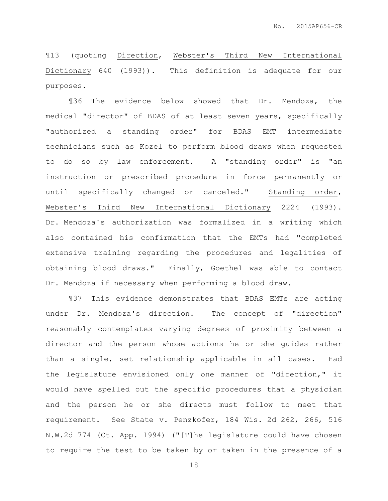¶13 (quoting Direction, Webster's Third New International Dictionary 640 (1993)). This definition is adequate for our purposes.

¶36 The evidence below showed that Dr. Mendoza, the medical "director" of BDAS of at least seven years, specifically "authorized a standing order" for BDAS EMT intermediate technicians such as Kozel to perform blood draws when requested to do so by law enforcement. A "standing order" is "an instruction or prescribed procedure in force permanently or until specifically changed or canceled." Standing order, Webster's Third New International Dictionary 2224 (1993). Dr. Mendoza's authorization was formalized in a writing which also contained his confirmation that the EMTs had "completed extensive training regarding the procedures and legalities of obtaining blood draws." Finally, Goethel was able to contact Dr. Mendoza if necessary when performing a blood draw.

¶37 This evidence demonstrates that BDAS EMTs are acting under Dr. Mendoza's direction. The concept of "direction" reasonably contemplates varying degrees of proximity between a director and the person whose actions he or she guides rather than a single, set relationship applicable in all cases. Had the legislature envisioned only one manner of "direction," it would have spelled out the specific procedures that a physician and the person he or she directs must follow to meet that requirement. See State v. Penzkofer, 184 Wis. 2d 262, 266, 516 N.W.2d 774 (Ct. App. 1994) ("[T]he legislature could have chosen to require the test to be taken by or taken in the presence of a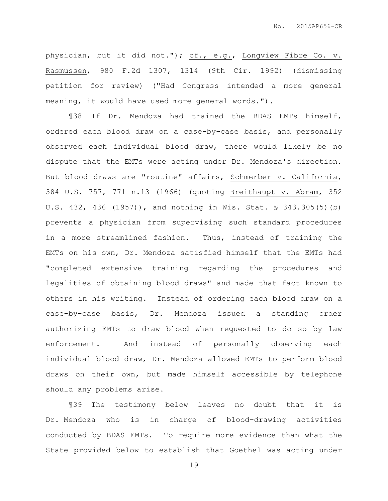physician, but it did not."); cf., e.g., Longview Fibre Co. v. Rasmussen, 980 F.2d 1307, 1314 (9th Cir. 1992) (dismissing petition for review) ("Had Congress intended a more general meaning, it would have used more general words.").

¶38 If Dr. Mendoza had trained the BDAS EMTs himself, ordered each blood draw on a case-by-case basis, and personally observed each individual blood draw, there would likely be no dispute that the EMTs were acting under Dr. Mendoza's direction. But blood draws are "routine" affairs, Schmerber v. California, 384 U.S. 757, 771 n.13 (1966) (quoting Breithaupt v. Abram, 352 U.S. 432, 436 (1957)), and nothing in Wis. Stat. § 343.305(5)(b) prevents a physician from supervising such standard procedures in a more streamlined fashion. Thus, instead of training the EMTs on his own, Dr. Mendoza satisfied himself that the EMTs had "completed extensive training regarding the procedures and legalities of obtaining blood draws" and made that fact known to others in his writing. Instead of ordering each blood draw on a case-by-case basis, Dr. Mendoza issued a standing order authorizing EMTs to draw blood when requested to do so by law enforcement. And instead of personally observing each individual blood draw, Dr. Mendoza allowed EMTs to perform blood draws on their own, but made himself accessible by telephone should any problems arise.

¶39 The testimony below leaves no doubt that it is Dr. Mendoza who is in charge of blood-drawing activities conducted by BDAS EMTs. To require more evidence than what the State provided below to establish that Goethel was acting under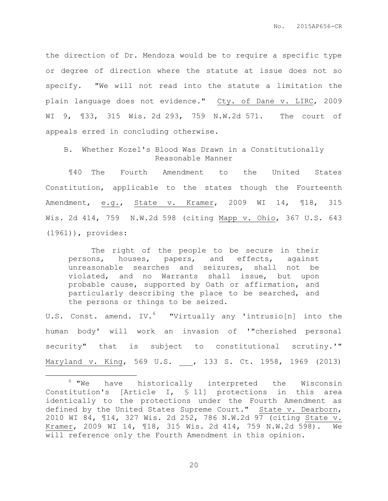the direction of Dr. Mendoza would be to require a specific type or degree of direction where the statute at issue does not so specify. "We will not read into the statute a limitation the plain language does not evidence." Cty. of Dane v. LIRC, 2009 WI 9, ¶33, 315 Wis. 2d 293, 759 N.W.2d 571. The court of appeals erred in concluding otherwise.

B. Whether Kozel's Blood Was Drawn in a Constitutionally Reasonable Manner

¶40 The Fourth Amendment to the United States Constitution, applicable to the states though the Fourteenth Amendment, e.g., State v. Kramer, 2009 WI 14, 118, 315 Wis. 2d 414, 759 N.W.2d 598 (citing Mapp v. Ohio, 367 U.S. 643 (1961)), provides:

The right of the people to be secure in their persons, houses, papers, and effects, against unreasonable searches and seizures, shall not be violated, and no Warrants shall issue, but upon probable cause, supported by Oath or affirmation, and particularly describing the place to be searched, and the persons or things to be seized.

U.S. Const. amend. IV.<sup>6</sup> "Virtually any 'intrusio[n] into the human body' will work an invasion of '"cherished personal security" that is subject to constitutional scrutiny.'" Maryland v. King, 569 U.S. \_\_\_, 133 S. Ct. 1958, 1969 (2013)

 $\overline{a}$ 

 $6$  "We have historically interpreted the Wisconsin Constitution's [Article I, § 11] protections in this area identically to the protections under the Fourth Amendment as defined by the United States Supreme Court." State v. Dearborn, 2010 WI 84, ¶14, 327 Wis. 2d 252, 786 N.W.2d 97 (citing State v. Kramer, 2009 WI 14, ¶18, 315 Wis. 2d 414, 759 N.W.2d 598). We will reference only the Fourth Amendment in this opinion.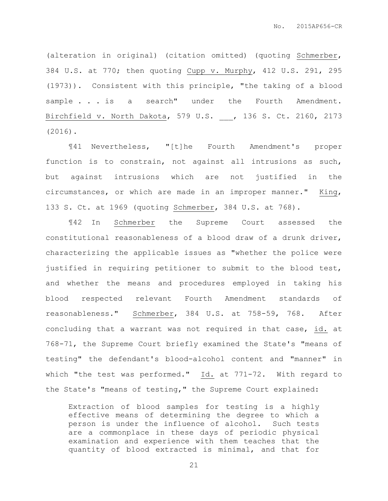(alteration in original) (citation omitted) (quoting Schmerber, 384 U.S. at 770; then quoting Cupp v. Murphy, 412 U.S. 291, 295 (1973)). Consistent with this principle, "the taking of a blood sample . . . is a search" under the Fourth Amendment. Birchfield v. North Dakota, 579 U.S. \_\_\_, 136 S. Ct. 2160, 2173 (2016).

¶41 Nevertheless, "[t]he Fourth Amendment's proper function is to constrain, not against all intrusions as such, but against intrusions which are not justified in the circumstances, or which are made in an improper manner." King, 133 S. Ct. at 1969 (quoting Schmerber, 384 U.S. at 768).

¶42 In Schmerber the Supreme Court assessed the constitutional reasonableness of a blood draw of a drunk driver, characterizing the applicable issues as "whether the police were justified in requiring petitioner to submit to the blood test, and whether the means and procedures employed in taking his blood respected relevant Fourth Amendment standards of reasonableness." Schmerber, 384 U.S. at 758-59, 768. After concluding that a warrant was not required in that case, id. at 768-71, the Supreme Court briefly examined the State's "means of testing" the defendant's blood-alcohol content and "manner" in which "the test was performed."  $\underline{Id.}$  at 771-72. With regard to the State's "means of testing," the Supreme Court explained:

Extraction of blood samples for testing is a highly effective means of determining the degree to which a person is under the influence of alcohol. Such tests are a commonplace in these days of periodic physical examination and experience with them teaches that the quantity of blood extracted is minimal, and that for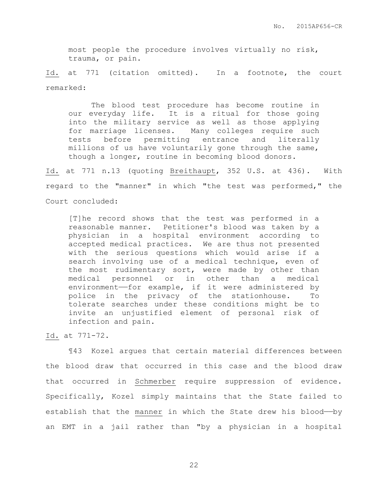most people the procedure involves virtually no risk, trauma, or pain.

Id. at 771 (citation omitted). In a footnote, the court remarked:

The blood test procedure has become routine in our everyday life. It is a ritual for those going into the military service as well as those applying for marriage licenses. Many colleges require such tests before permitting entrance and literally millions of us have voluntarily gone through the same, though a longer, routine in becoming blood donors.

Id. at 771 n.13 (quoting Breithaupt, 352 U.S. at 436). With regard to the "manner" in which "the test was performed," the Court concluded:

[T]he record shows that the test was performed in a reasonable manner. Petitioner's blood was taken by a physician in a hospital environment according to accepted medical practices. We are thus not presented with the serious questions which would arise if a search involving use of a medical technique, even of the most rudimentary sort, were made by other than medical personnel or in other than a medical environment——for example, if it were administered by police in the privacy of the stationhouse. To tolerate searches under these conditions might be to invite an unjustified element of personal risk of infection and pain.

Id. at 771-72.

¶43 Kozel argues that certain material differences between the blood draw that occurred in this case and the blood draw that occurred in Schmerber require suppression of evidence. Specifically, Kozel simply maintains that the State failed to establish that the manner in which the State drew his blood--by an EMT in a jail rather than "by a physician in a hospital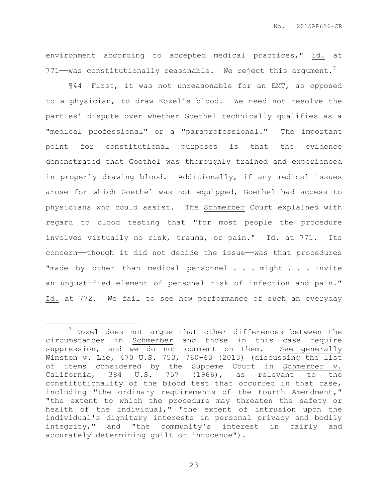environment according to accepted medical practices," id. at  $771$ —was constitutionally reasonable. We reject this argument.<sup>7</sup>

¶44 First, it was not unreasonable for an EMT, as opposed to a physician, to draw Kozel's blood. We need not resolve the parties' dispute over whether Goethel technically qualifies as a "medical professional" or a "paraprofessional." The important point for constitutional purposes is that the evidence demonstrated that Goethel was thoroughly trained and experienced in properly drawing blood. Additionally, if any medical issues arose for which Goethel was not equipped, Goethel had access to physicians who could assist. The Schmerber Court explained with regard to blood testing that "for most people the procedure involves virtually no risk, trauma, or pain." Id. at 771. Its concern——though it did not decide the issue——was that procedures "made by other than medical personnel . . . might . . . invite an unjustified element of personal risk of infection and pain." Id. at 772. We fail to see how performance of such an everyday

 $\overline{a}$ 

 $7$  Kozel does not argue that other differences between the circumstances in Schmerber and those in this case require suppression, and we do not comment on them. See generally Winston v. Lee, 470 U.S. 753, 760-63 (2013) (discussing the list of items considered by the Supreme Court in Schmerber v. California, 384 U.S. 757 (1966), as relevant to the constitutionality of the blood test that occurred in that case, including "the ordinary requirements of the Fourth Amendment," "the extent to which the procedure may threaten the safety or health of the individual," "the extent of intrusion upon the individual's dignitary interests in personal privacy and bodily integrity," and "the community's interest in fairly and accurately determining guilt or innocence").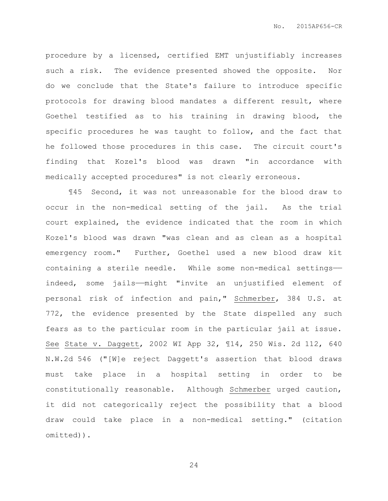procedure by a licensed, certified EMT unjustifiably increases such a risk. The evidence presented showed the opposite. Nor do we conclude that the State's failure to introduce specific protocols for drawing blood mandates a different result, where Goethel testified as to his training in drawing blood, the specific procedures he was taught to follow, and the fact that he followed those procedures in this case. The circuit court's finding that Kozel's blood was drawn "in accordance with medically accepted procedures" is not clearly erroneous.

¶45 Second, it was not unreasonable for the blood draw to occur in the non-medical setting of the jail. As the trial court explained, the evidence indicated that the room in which Kozel's blood was drawn "was clean and as clean as a hospital emergency room." Further, Goethel used a new blood draw kit containing a sterile needle. While some non-medical settings— indeed, some jails—might "invite an unjustified element of personal risk of infection and pain," Schmerber, 384 U.S. at 772, the evidence presented by the State dispelled any such fears as to the particular room in the particular jail at issue. See State v. Daggett, 2002 WI App 32, ¶14, 250 Wis. 2d 112, 640 N.W.2d 546 ("[W]e reject Daggett's assertion that blood draws must take place in a hospital setting in order to be constitutionally reasonable. Although Schmerber urged caution, it did not categorically reject the possibility that a blood draw could take place in a non-medical setting." (citation omitted)).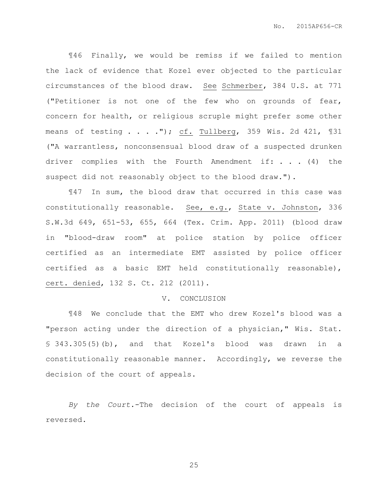¶46 Finally, we would be remiss if we failed to mention the lack of evidence that Kozel ever objected to the particular circumstances of the blood draw. See Schmerber, 384 U.S. at 771 ("Petitioner is not one of the few who on grounds of fear, concern for health, or religious scruple might prefer some other means of testing . . . . "); cf. Tullberg, 359 Wis. 2d 421, 131 ("A warrantless, nonconsensual blood draw of a suspected drunken driver complies with the Fourth Amendment if: . . . (4) the suspect did not reasonably object to the blood draw.").

¶47 In sum, the blood draw that occurred in this case was constitutionally reasonable. See, e.g., State v. Johnston, 336 S.W.3d 649, 651-53, 655, 664 (Tex. Crim. App. 2011) (blood draw in "blood-draw room" at police station by police officer certified as an intermediate EMT assisted by police officer certified as a basic EMT held constitutionally reasonable), cert. denied, 132 S. Ct. 212 (2011).

#### V. CONCLUSION

¶48 We conclude that the EMT who drew Kozel's blood was a "person acting under the direction of a physician," Wis. Stat. § 343.305(5)(b), and that Kozel's blood was drawn in a constitutionally reasonable manner. Accordingly, we reverse the decision of the court of appeals.

*By the Court.*-The decision of the court of appeals is reversed.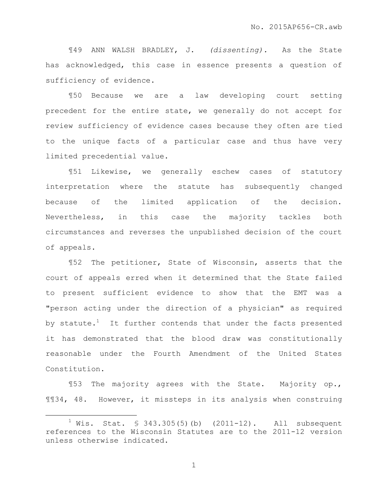¶49 ANN WALSH BRADLEY, J. *(dissenting).* As the State has acknowledged, this case in essence presents a question of sufficiency of evidence.

¶50 Because we are a law developing court setting precedent for the entire state, we generally do not accept for review sufficiency of evidence cases because they often are tied to the unique facts of a particular case and thus have very limited precedential value.

¶51 Likewise, we generally eschew cases of statutory interpretation where the statute has subsequently changed because of the limited application of the decision. Nevertheless, in this case the majority tackles both circumstances and reverses the unpublished decision of the court of appeals.

¶52 The petitioner, State of Wisconsin, asserts that the court of appeals erred when it determined that the State failed to present sufficient evidence to show that the EMT was a "person acting under the direction of a physician" as required by statute.<sup>1</sup> It further contends that under the facts presented it has demonstrated that the blood draw was constitutionally reasonable under the Fourth Amendment of the United States Constitution.

¶53 The majority agrees with the State. Majority op., ¶¶34, 48. However, it missteps in its analysis when construing

 $\overline{a}$ 

 $1$  Wis. Stat. § 343.305(5)(b) (2011-12). All subsequent references to the Wisconsin Statutes are to the 2011-12 version unless otherwise indicated.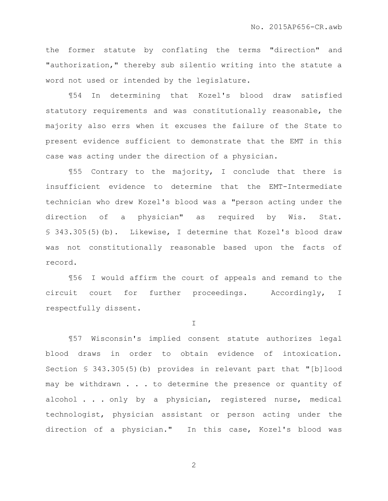the former statute by conflating the terms "direction" and "authorization," thereby sub silentio writing into the statute a word not used or intended by the legislature.

¶54 In determining that Kozel's blood draw satisfied statutory requirements and was constitutionally reasonable, the majority also errs when it excuses the failure of the State to present evidence sufficient to demonstrate that the EMT in this case was acting under the direction of a physician.

¶55 Contrary to the majority, I conclude that there is insufficient evidence to determine that the EMT-Intermediate technician who drew Kozel's blood was a "person acting under the direction of a physician" as required by Wis. Stat. § 343.305(5)(b). Likewise, I determine that Kozel's blood draw was not constitutionally reasonable based upon the facts of record.

¶56 I would affirm the court of appeals and remand to the circuit court for further proceedings. Accordingly, I respectfully dissent.

I

¶57 Wisconsin's implied consent statute authorizes legal blood draws in order to obtain evidence of intoxication. Section § 343.305(5)(b) provides in relevant part that "[b]lood may be withdrawn . . . to determine the presence or quantity of alcohol . . . only by a physician, registered nurse, medical technologist, physician assistant or person acting under the direction of a physician." In this case, Kozel's blood was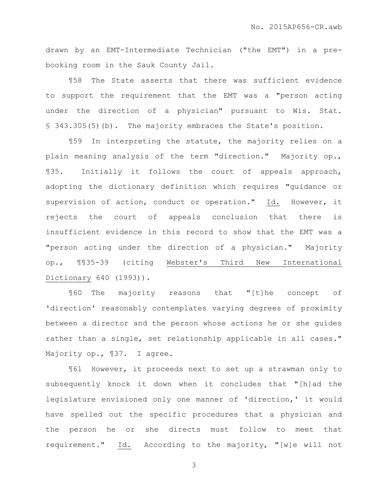drawn by an EMT-Intermediate Technician ("the EMT") in a prebooking room in the Sauk County Jail.

¶58 The State asserts that there was sufficient evidence to support the requirement that the EMT was a "person acting under the direction of a physician" pursuant to Wis. Stat. § 343.305(5)(b). The majority embraces the State's position.

¶59 In interpreting the statute, the majority relies on a plain meaning analysis of the term "direction." Majority op., ¶35. Initially it follows the court of appeals approach, adopting the dictionary definition which requires "guidance or supervision of action, conduct or operation." Id. However, it rejects the court of appeals conclusion that there is insufficient evidence in this record to show that the EMT was a "person acting under the direction of a physician." Majority op., ¶¶35-39 (citing Webster's Third New International Dictionary 640 (1993)).

¶60 The majority reasons that "[t]he concept of 'direction' reasonably contemplates varying degrees of proximity between a director and the person whose actions he or she guides rather than a single, set relationship applicable in all cases." Majority op., ¶37. I agree.

¶61 However, it proceeds next to set up a strawman only to subsequently knock it down when it concludes that "[h]ad the legislature envisioned only one manner of 'direction,' it would have spelled out the specific procedures that a physician and the person he or she directs must follow to meet that requirement." Id. According to the majority, "[w]e will not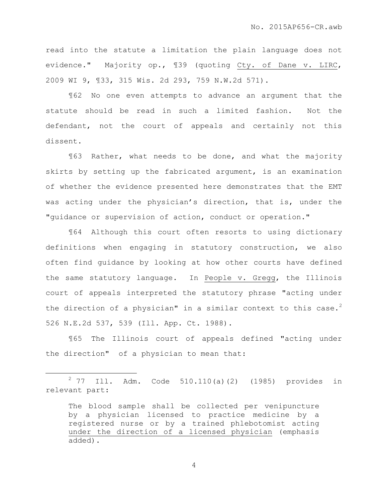read into the statute a limitation the plain language does not evidence." Majority op., ¶39 (quoting Cty. of Dane v. LIRC, 2009 WI 9, ¶33, 315 Wis. 2d 293, 759 N.W.2d 571).

¶62 No one even attempts to advance an argument that the statute should be read in such a limited fashion. Not the defendant, not the court of appeals and certainly not this dissent.

¶63 Rather, what needs to be done, and what the majority skirts by setting up the fabricated argument, is an examination of whether the evidence presented here demonstrates that the EMT was acting under the physician's direction, that is, under the "guidance or supervision of action, conduct or operation."

¶64 Although this court often resorts to using dictionary definitions when engaging in statutory construction, we also often find guidance by looking at how other courts have defined the same statutory language. In People v. Gregg, the Illinois court of appeals interpreted the statutory phrase "acting under the direction of a physician" in a similar context to this case.<sup>2</sup> 526 N.E.2d 537, 539 (Ill. App. Ct. 1988).

¶65 The Illinois court of appeals defined "acting under the direction" of a physician to mean that:

 $\overline{a}$ 

 $2$  77 Ill. Adm. Code 510.110(a)(2) (1985) provides in relevant part:

The blood sample shall be collected per venipuncture by a physician licensed to practice medicine by a registered nurse or by a trained phlebotomist acting under the direction of a licensed physician (emphasis added).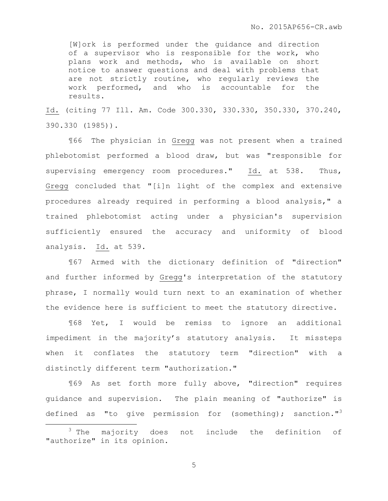[W]ork is performed under the guidance and direction of a supervisor who is responsible for the work, who plans work and methods, who is available on short notice to answer questions and deal with problems that are not strictly routine, who regularly reviews the work performed, and who is accountable for the results.

Id. (citing 77 Ill. Am. Code 300.330, 330.330, 350.330, 370.240, 390.330 (1985)).

¶66 The physician in Gregg was not present when a trained phlebotomist performed a blood draw, but was "responsible for supervising emergency room procedures." Id. at 538. Thus, Gregg concluded that "[i]n light of the complex and extensive procedures already required in performing a blood analysis," a trained phlebotomist acting under a physician's supervision sufficiently ensured the accuracy and uniformity of blood analysis. Id. at 539.

¶67 Armed with the dictionary definition of "direction" and further informed by Gregg's interpretation of the statutory phrase, I normally would turn next to an examination of whether the evidence here is sufficient to meet the statutory directive.

¶68 Yet, I would be remiss to ignore an additional impediment in the majority's statutory analysis. It missteps when it conflates the statutory term "direction" with a distinctly different term "authorization."

¶69 As set forth more fully above, "direction" requires guidance and supervision. The plain meaning of "authorize" is defined as "to give permission for (something); sanction."<sup>3</sup>

 $\overline{a}$ 

<sup>&</sup>lt;sup>3</sup> The majority does not include the definition of "authorize" in its opinion.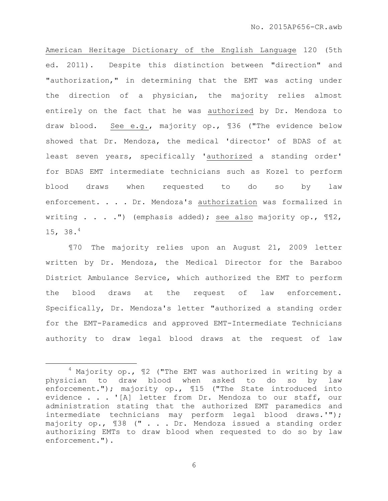American Heritage Dictionary of the English Language 120 (5th ed. 2011). Despite this distinction between "direction" and "authorization," in determining that the EMT was acting under the direction of a physician, the majority relies almost entirely on the fact that he was authorized by Dr. Mendoza to draw blood. See e.g., majority op., ¶36 ("The evidence below showed that Dr. Mendoza, the medical 'director' of BDAS of at least seven years, specifically 'authorized a standing order' for BDAS EMT intermediate technicians such as Kozel to perform blood draws when requested to do so by law enforcement. . . . Dr. Mendoza's authorization was formalized in writing  $\ldots$  . . .") (emphasis added); see also majority op.,  $\mathbb{I}\mathbb{I}^2$ , 15, 38.<sup>4</sup>

¶70 The majority relies upon an August 21, 2009 letter written by Dr. Mendoza, the Medical Director for the Baraboo District Ambulance Service, which authorized the EMT to perform the blood draws at the request of law enforcement. Specifically, Dr. Mendoza's letter "authorized a standing order for the EMT-Paramedics and approved EMT-Intermediate Technicians authority to draw legal blood draws at the request of law

 $\overline{a}$ 

 $4$  Majority op.,  $12$  ("The EMT was authorized in writing by a physician to draw blood when asked to do so by law enforcement."); majority op., ¶15 ("The State introduced into evidence . . . '[A] letter from Dr. Mendoza to our staff, our administration stating that the authorized EMT paramedics and intermediate technicians may perform legal blood draws.'"); majority op., ¶38 (" . . . Dr. Mendoza issued a standing order authorizing EMTs to draw blood when requested to do so by law enforcement.").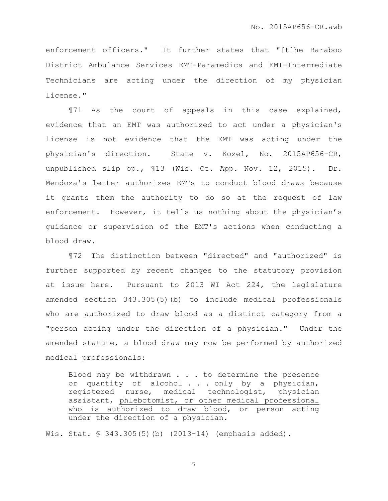enforcement officers." It further states that "[t]he Baraboo District Ambulance Services EMT-Paramedics and EMT-Intermediate Technicians are acting under the direction of my physician license."

¶71 As the court of appeals in this case explained, evidence that an EMT was authorized to act under a physician's license is not evidence that the EMT was acting under the physician's direction. State v. Kozel, No. 2015AP656-CR, unpublished slip op., ¶13 (Wis. Ct. App. Nov. 12, 2015). Dr. Mendoza's letter authorizes EMTs to conduct blood draws because it grants them the authority to do so at the request of law enforcement. However, it tells us nothing about the physician's guidance or supervision of the EMT's actions when conducting a blood draw.

¶72 The distinction between "directed" and "authorized" is further supported by recent changes to the statutory provision at issue here. Pursuant to 2013 WI Act 224, the legislature amended section 343.305(5)(b) to include medical professionals who are authorized to draw blood as a distinct category from a "person acting under the direction of a physician." Under the amended statute, a blood draw may now be performed by authorized medical professionals:

Blood may be withdrawn . . . to determine the presence or quantity of alcohol . . . only by a physician, registered nurse, medical technologist, physician assistant, phlebotomist, or other medical professional who is authorized to draw blood, or person acting under the direction of a physician.

Wis. Stat. § 343.305(5)(b) (2013-14) (emphasis added).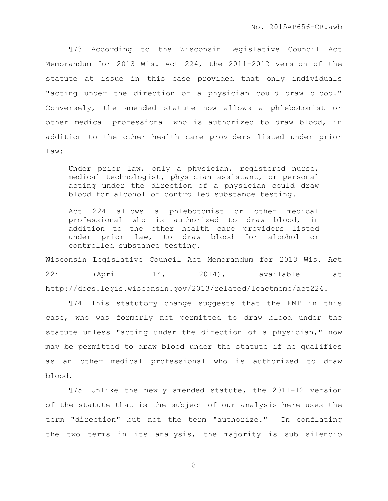¶73 According to the Wisconsin Legislative Council Act Memorandum for 2013 Wis. Act 224, the 2011-2012 version of the statute at issue in this case provided that only individuals "acting under the direction of a physician could draw blood." Conversely, the amended statute now allows a phlebotomist or other medical professional who is authorized to draw blood, in addition to the other health care providers listed under prior law:

Under prior law, only a physician, registered nurse, medical technologist, physician assistant, or personal acting under the direction of a physician could draw blood for alcohol or controlled substance testing.

Act 224 allows a phlebotomist or other medical professional who is authorized to draw blood, in addition to the other health care providers listed under prior law, to draw blood for alcohol or controlled substance testing.

Wisconsin Legislative Council Act Memorandum for 2013 Wis. Act 224 (April 14, 2014), available at http://docs.legis.wisconsin.gov/2013/related/lcactmemo/act224.

¶74 This statutory change suggests that the EMT in this case, who was formerly not permitted to draw blood under the statute unless "acting under the direction of a physician," now may be permitted to draw blood under the statute if he qualifies as an other medical professional who is authorized to draw blood.

¶75 Unlike the newly amended statute, the 2011-12 version of the statute that is the subject of our analysis here uses the term "direction" but not the term "authorize." In conflating the two terms in its analysis, the majority is sub silencio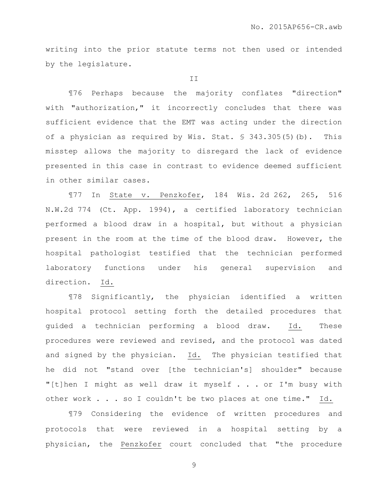writing into the prior statute terms not then used or intended by the legislature.

T<sub>T</sub>

¶76 Perhaps because the majority conflates "direction" with "authorization," it incorrectly concludes that there was sufficient evidence that the EMT was acting under the direction of a physician as required by Wis. Stat. § 343.305(5)(b). This misstep allows the majority to disregard the lack of evidence presented in this case in contrast to evidence deemed sufficient in other similar cases.

¶77 In State v. Penzkofer, 184 Wis. 2d 262, 265, 516 N.W.2d 774 (Ct. App. 1994), a certified laboratory technician performed a blood draw in a hospital, but without a physician present in the room at the time of the blood draw. However, the hospital pathologist testified that the technician performed laboratory functions under his general supervision and direction. Id.

¶78 Significantly, the physician identified a written hospital protocol setting forth the detailed procedures that guided a technician performing a blood draw. Id. These procedures were reviewed and revised, and the protocol was dated and signed by the physician. Id. The physician testified that he did not "stand over [the technician's] shoulder" because "[t]hen I might as well draw it myself . . . or I'm busy with other work . . . so I couldn't be two places at one time." Id.

¶79 Considering the evidence of written procedures and protocols that were reviewed in a hospital setting by a physician, the Penzkofer court concluded that "the procedure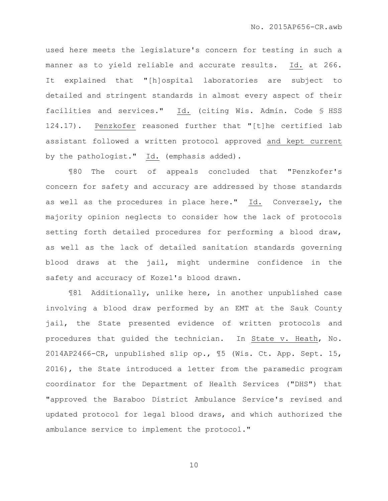used here meets the legislature's concern for testing in such a manner as to yield reliable and accurate results. Id. at 266. It explained that "[h]ospital laboratories are subject to detailed and stringent standards in almost every aspect of their facilities and services." Id. (citing Wis. Admin. Code § HSS 124.17). Penzkofer reasoned further that "[t]he certified lab assistant followed a written protocol approved and kept current by the pathologist." Id. (emphasis added).

¶80 The court of appeals concluded that "Penzkofer's concern for safety and accuracy are addressed by those standards as well as the procedures in place here." Id. Conversely, the majority opinion neglects to consider how the lack of protocols setting forth detailed procedures for performing a blood draw, as well as the lack of detailed sanitation standards governing blood draws at the jail, might undermine confidence in the safety and accuracy of Kozel's blood drawn.

¶81 Additionally, unlike here, in another unpublished case involving a blood draw performed by an EMT at the Sauk County jail, the State presented evidence of written protocols and procedures that guided the technician. In State v. Heath, No. 2014AP2466-CR, unpublished slip op., ¶5 (Wis. Ct. App. Sept. 15, 2016), the State introduced a letter from the paramedic program coordinator for the Department of Health Services ("DHS") that "approved the Baraboo District Ambulance Service's revised and updated protocol for legal blood draws, and which authorized the ambulance service to implement the protocol."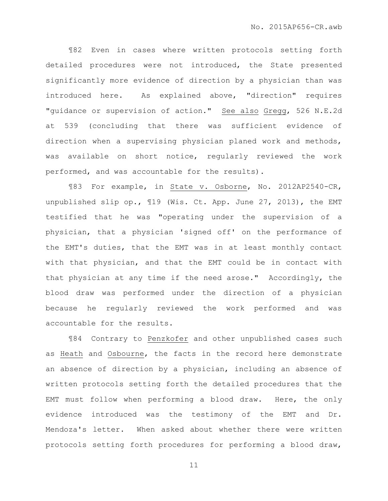¶82 Even in cases where written protocols setting forth detailed procedures were not introduced, the State presented significantly more evidence of direction by a physician than was introduced here. As explained above, "direction" requires "guidance or supervision of action." See also Gregg, 526 N.E.2d at 539 (concluding that there was sufficient evidence of direction when a supervising physician planed work and methods, was available on short notice, regularly reviewed the work performed, and was accountable for the results).

¶83 For example, in State v. Osborne, No. 2012AP2540-CR, unpublished slip op., ¶19 (Wis. Ct. App. June 27, 2013), the EMT testified that he was "operating under the supervision of a physician, that a physician 'signed off' on the performance of the EMT's duties, that the EMT was in at least monthly contact with that physician, and that the EMT could be in contact with that physician at any time if the need arose." Accordingly, the blood draw was performed under the direction of a physician because he regularly reviewed the work performed and was accountable for the results.

¶84 Contrary to Penzkofer and other unpublished cases such as Heath and Osbourne, the facts in the record here demonstrate an absence of direction by a physician, including an absence of written protocols setting forth the detailed procedures that the EMT must follow when performing a blood draw. Here, the only evidence introduced was the testimony of the EMT and Dr. Mendoza's letter. When asked about whether there were written protocols setting forth procedures for performing a blood draw,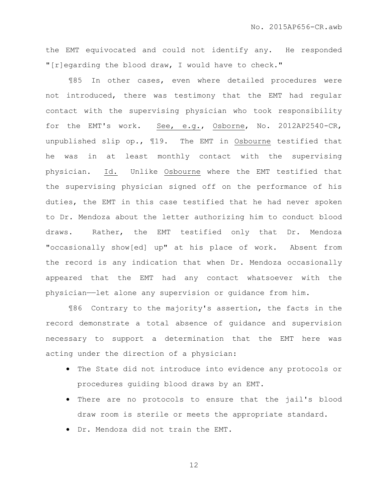the EMT equivocated and could not identify any. He responded "[r]egarding the blood draw, I would have to check."

¶85 In other cases, even where detailed procedures were not introduced, there was testimony that the EMT had regular contact with the supervising physician who took responsibility for the EMT's work. See, e.g., Osborne, No. 2012AP2540-CR, unpublished slip op., ¶19. The EMT in Osbourne testified that he was in at least monthly contact with the supervising physician. Id. Unlike Osbourne where the EMT testified that the supervising physician signed off on the performance of his duties, the EMT in this case testified that he had never spoken to Dr. Mendoza about the letter authorizing him to conduct blood draws. Rather, the EMT testified only that Dr. Mendoza "occasionally show[ed] up" at his place of work. Absent from the record is any indication that when Dr. Mendoza occasionally appeared that the EMT had any contact whatsoever with the physician——let alone any supervision or guidance from him.

¶86 Contrary to the majority's assertion, the facts in the record demonstrate a total absence of guidance and supervision necessary to support a determination that the EMT here was acting under the direction of a physician:

- The State did not introduce into evidence any protocols or procedures guiding blood draws by an EMT.
- There are no protocols to ensure that the jail's blood draw room is sterile or meets the appropriate standard.
- Dr. Mendoza did not train the EMT.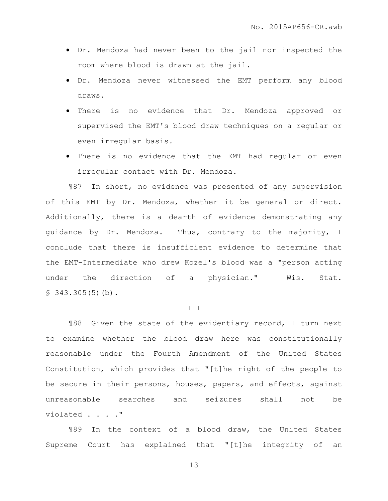- Dr. Mendoza had never been to the jail nor inspected the room where blood is drawn at the jail.
- Dr. Mendoza never witnessed the EMT perform any blood draws.
- There is no evidence that Dr. Mendoza approved or supervised the EMT's blood draw techniques on a regular or even irregular basis.
- There is no evidence that the EMT had regular or even irregular contact with Dr. Mendoza.

¶87 In short, no evidence was presented of any supervision of this EMT by Dr. Mendoza, whether it be general or direct. Additionally, there is a dearth of evidence demonstrating any guidance by Dr. Mendoza. Thus, contrary to the majority, I conclude that there is insufficient evidence to determine that the EMT-Intermediate who drew Kozel's blood was a "person acting under the direction of a physician." Wis. Stat.  $$343.305(5)(b).$ 

#### **III**

¶88 Given the state of the evidentiary record, I turn next to examine whether the blood draw here was constitutionally reasonable under the Fourth Amendment of the United States Constitution, which provides that "[t]he right of the people to be secure in their persons, houses, papers, and effects, against unreasonable searches and seizures shall not be violated . . . ."

¶89 In the context of a blood draw, the United States Supreme Court has explained that "[t]he integrity of an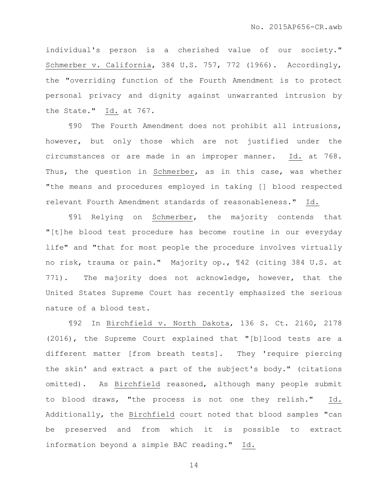individual's person is a cherished value of our society." Schmerber v. California, 384 U.S. 757, 772 (1966). Accordingly, the "overriding function of the Fourth Amendment is to protect personal privacy and dignity against unwarranted intrusion by the State." Id. at 767.

¶90 The Fourth Amendment does not prohibit all intrusions, however, but only those which are not justified under the circumstances or are made in an improper manner. Id. at 768. Thus, the question in Schmerber, as in this case, was whether "the means and procedures employed in taking [] blood respected relevant Fourth Amendment standards of reasonableness." Id.

¶91 Relying on Schmerber, the majority contends that "[t]he blood test procedure has become routine in our everyday life" and "that for most people the procedure involves virtually no risk, trauma or pain." Majority op., ¶42 (citing 384 U.S. at 771). The majority does not acknowledge, however, that the United States Supreme Court has recently emphasized the serious nature of a blood test.

¶92 In Birchfield v. North Dakota, 136 S. Ct. 2160, 2178 (2016), the Supreme Court explained that "[b]lood tests are a different matter [from breath tests]. They 'require piercing the skin' and extract a part of the subject's body." (citations omitted). As Birchfield reasoned, although many people submit to blood draws, "the process is not one they relish." Id. Additionally, the Birchfield court noted that blood samples "can be preserved and from which it is possible to extract information beyond a simple BAC reading." Id.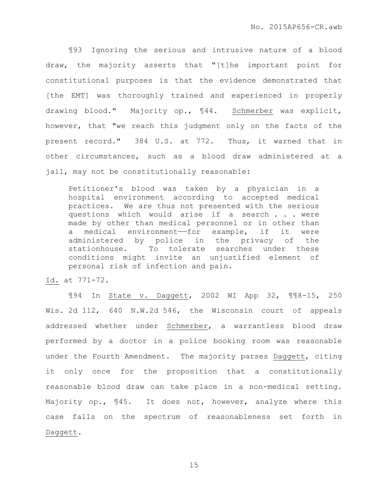¶93 Ignoring the serious and intrusive nature of a blood draw, the majority asserts that "[t]he important point for constitutional purposes is that the evidence demonstrated that [the EMT] was thoroughly trained and experienced in properly drawing blood." Majority op., ¶44. Schmerber was explicit, however, that "we reach this judgment only on the facts of the present record." 384 U.S. at 772. Thus, it warned that in other circumstances, such as a blood draw administered at a jail, may not be constitutionally reasonable:

Petitioner's blood was taken by a physician in a hospital environment according to accepted medical practices. We are thus not presented with the serious questions which would arise if a search . . . were made by other than medical personnel or in other than a medical environment—for example, if it were administered by police in the privacy of the stationhouse. To tolerate searches under these conditions might invite an unjustified element of personal risk of infection and pain.

Id. at 771-72.

¶94 In State v. Daggett, 2002 WI App 32, ¶¶8-15, 250 Wis. 2d 112, 640 N.W.2d 546, the Wisconsin court of appeals addressed whether under Schmerber, a warrantless blood draw performed by a doctor in a police booking room was reasonable under the Fourth Amendment. The majority parses Daggett, citing it only once for the proposition that a constitutionally reasonable blood draw can take place in a non-medical setting. Majority op., 145. It does not, however, analyze where this case falls on the spectrum of reasonableness set forth in Daggett.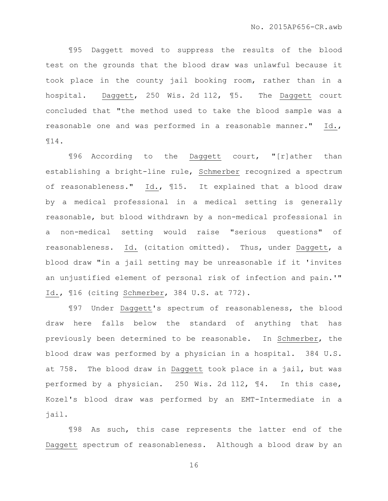¶95 Daggett moved to suppress the results of the blood test on the grounds that the blood draw was unlawful because it took place in the county jail booking room, rather than in a hospital. Daggett, 250 Wis. 2d 112, ¶5. The Daggett court concluded that "the method used to take the blood sample was a reasonable one and was performed in a reasonable manner." Id., ¶14.

¶96 According to the Daggett court, "[r]ather than establishing a bright-line rule, Schmerber recognized a spectrum of reasonableness." Id., ¶15. It explained that a blood draw by a medical professional in a medical setting is generally reasonable, but blood withdrawn by a non-medical professional in a non-medical setting would raise "serious questions" of reasonableness. Id. (citation omitted). Thus, under Daggett, a blood draw "in a jail setting may be unreasonable if it 'invites an unjustified element of personal risk of infection and pain.'" Id., ¶16 (citing Schmerber, 384 U.S. at 772).

¶97 Under Daggett's spectrum of reasonableness, the blood draw here falls below the standard of anything that has previously been determined to be reasonable. In Schmerber, the blood draw was performed by a physician in a hospital. 384 U.S. at 758. The blood draw in Daggett took place in a jail, but was performed by a physician. 250 Wis. 2d 112, ¶4. In this case, Kozel's blood draw was performed by an EMT-Intermediate in a jail.

¶98 As such, this case represents the latter end of the Daggett spectrum of reasonableness. Although a blood draw by an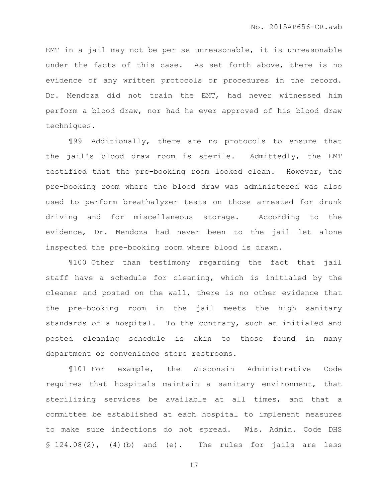EMT in a jail may not be per se unreasonable, it is unreasonable under the facts of this case. As set forth above, there is no evidence of any written protocols or procedures in the record. Dr. Mendoza did not train the EMT, had never witnessed him perform a blood draw, nor had he ever approved of his blood draw techniques.

¶99 Additionally, there are no protocols to ensure that the jail's blood draw room is sterile. Admittedly, the EMT testified that the pre-booking room looked clean. However, the pre-booking room where the blood draw was administered was also used to perform breathalyzer tests on those arrested for drunk driving and for miscellaneous storage. According to the evidence, Dr. Mendoza had never been to the jail let alone inspected the pre-booking room where blood is drawn.

¶100 Other than testimony regarding the fact that jail staff have a schedule for cleaning, which is initialed by the cleaner and posted on the wall, there is no other evidence that the pre-booking room in the jail meets the high sanitary standards of a hospital. To the contrary, such an initialed and posted cleaning schedule is akin to those found in many department or convenience store restrooms.

¶101 For example, the Wisconsin Administrative Code requires that hospitals maintain a sanitary environment, that sterilizing services be available at all times, and that a committee be established at each hospital to implement measures to make sure infections do not spread. Wis. Admin. Code DHS § 124.08(2), (4)(b) and (e). The rules for jails are less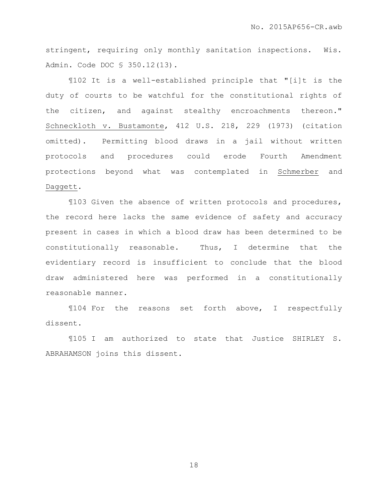stringent, requiring only monthly sanitation inspections. Wis. Admin. Code DOC § 350.12(13).

¶102 It is a well-established principle that "[i]t is the duty of courts to be watchful for the constitutional rights of the citizen, and against stealthy encroachments thereon." Schneckloth v. Bustamonte, 412 U.S. 218, 229 (1973) (citation omitted). Permitting blood draws in a jail without written protocols and procedures could erode Fourth Amendment protections beyond what was contemplated in Schmerber and Daggett.

¶103 Given the absence of written protocols and procedures, the record here lacks the same evidence of safety and accuracy present in cases in which a blood draw has been determined to be constitutionally reasonable. Thus, I determine that the evidentiary record is insufficient to conclude that the blood draw administered here was performed in a constitutionally reasonable manner.

¶104 For the reasons set forth above, I respectfully dissent.

¶105 I am authorized to state that Justice SHIRLEY S. ABRAHAMSON joins this dissent.